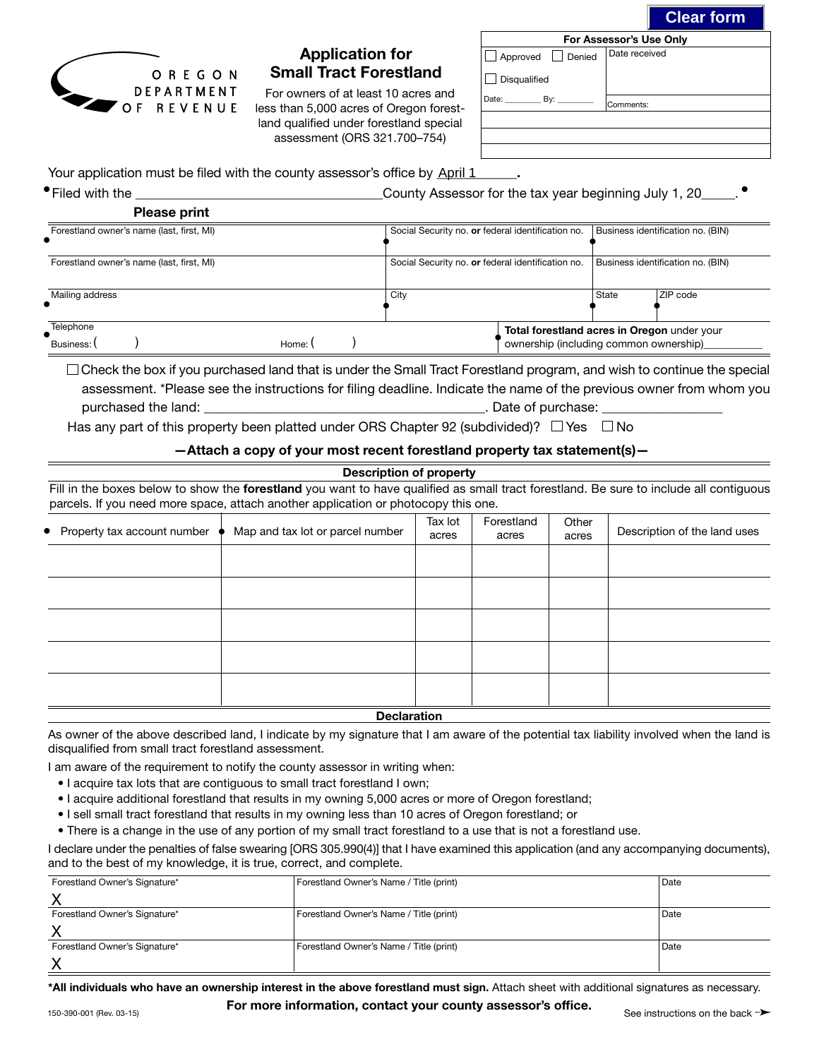**Clear form**

•



## Application for Small Tract Forestland

For owners of at least 10 acres and less than 5,000 acres of Oregon forestland qualified under forestland special assessment (ORS 321.700–754)

| For Assessor's Use Only |               |  |  |  |
|-------------------------|---------------|--|--|--|
| Approved Denied         | Date received |  |  |  |
| <b>Disqualified</b>     |               |  |  |  |
| Date: By:               | Comments:     |  |  |  |
|                         |               |  |  |  |
|                         |               |  |  |  |
|                         |               |  |  |  |

Your application must be filed with the county assessor's office by **April 1** Fig.

•Filed with the \_\_\_\_\_\_\_\_\_\_\_\_\_\_\_\_\_\_\_\_\_\_\_\_\_\_\_\_\_\_\_\_\_\_\_\_\_County Assessor for the tax year beginning July 1, 20\_\_\_\_\_.

|                                           | <b>Please print</b>                       |                                                   |                                                   |                                   |                                                                                       |       |           |
|-------------------------------------------|-------------------------------------------|---------------------------------------------------|---------------------------------------------------|-----------------------------------|---------------------------------------------------------------------------------------|-------|-----------|
| Forestland owner's name (last, first, MI) |                                           | Social Security no. or federal identification no. |                                                   | Business identification no. (BIN) |                                                                                       |       |           |
|                                           | Forestland owner's name (last, first, MI) |                                                   | Social Security no. or federal identification no. |                                   | Business identification no. (BIN)                                                     |       |           |
| Mailing address                           |                                           |                                                   |                                                   | City                              |                                                                                       | State | IZIP code |
| Telephone<br>Business: I                  |                                           | Home:                                             |                                                   |                                   | Total forestland acres in Oregon under your<br>ownership (including common ownership) |       |           |

 $\Box$  Check the box if you purchased land that is under the Small Tract Forestland program, and wish to continue the special assessment. \*Please see the instructions for filing deadline. Indicate the name of the previous owner from whom you purchased the land: \_\_\_\_\_\_\_\_\_\_\_\_\_\_\_\_\_\_\_\_\_\_\_\_\_\_\_\_\_\_\_\_\_\_\_\_\_\_\_\_\_\_. Date of purchase: \_\_\_\_\_\_\_\_\_\_\_\_\_\_\_\_\_\_

Has any part of this property been platted under ORS Chapter 92 (subdivided)?  $\Box$  Yes  $\Box$  No

#### —Attach a copy of your most recent forestland property tax statement(s)—

| <b>Description of property</b> |                                                                                                                                                                                                                              |                  |                     |                |                              |  |  |
|--------------------------------|------------------------------------------------------------------------------------------------------------------------------------------------------------------------------------------------------------------------------|------------------|---------------------|----------------|------------------------------|--|--|
|                                | Fill in the boxes below to show the forestland you want to have qualified as small tract forestland. Be sure to include all contiguous<br>parcels. If you need more space, attach another application or photocopy this one. |                  |                     |                |                              |  |  |
| • Property tax account number  | Map and tax lot or parcel number                                                                                                                                                                                             | Tax lot<br>acres | Forestland<br>acres | Other<br>acres | Description of the land uses |  |  |
|                                |                                                                                                                                                                                                                              |                  |                     |                |                              |  |  |
|                                |                                                                                                                                                                                                                              |                  |                     |                |                              |  |  |
|                                |                                                                                                                                                                                                                              |                  |                     |                |                              |  |  |
|                                |                                                                                                                                                                                                                              |                  |                     |                |                              |  |  |
|                                |                                                                                                                                                                                                                              |                  |                     |                |                              |  |  |
| <b>Declaration</b>             |                                                                                                                                                                                                                              |                  |                     |                |                              |  |  |

As owner of the above described land, I indicate by my signature that I am aware of the potential tax liability involved when the land is disqualified from small tract forestland assessment.

I am aware of the requirement to notify the county assessor in writing when:

- I acquire tax lots that are contiguous to small tract forestland I own;
- I acquire additional forestland that results in my owning 5,000 acres or more of Oregon forestland;
- I sell small tract forestland that results in my owning less than 10 acres of Oregon forestland; or
- There is a change in the use of any portion of my small tract forestland to a use that is not a forestland use.

I declare under the penalties of false swearing [ORS 305.990(4)] that I have examined this application (and any accompanying documents), and to the best of my knowledge, it is true, correct, and complete.

| Forestland Owner's Signature* | Forestland Owner's Name / Title (print) | l Date |
|-------------------------------|-----------------------------------------|--------|
|                               |                                         |        |
| Forestland Owner's Signature* | Forestland Owner's Name / Title (print) | l Date |
|                               |                                         |        |
| Forestland Owner's Signature* | Forestland Owner's Name / Title (print) | l Date |
|                               |                                         |        |

\*All individuals who have an ownership interest in the above forestland must sign. Attach sheet with additional signatures as necessary.

For more information, contact your county assessor's office.